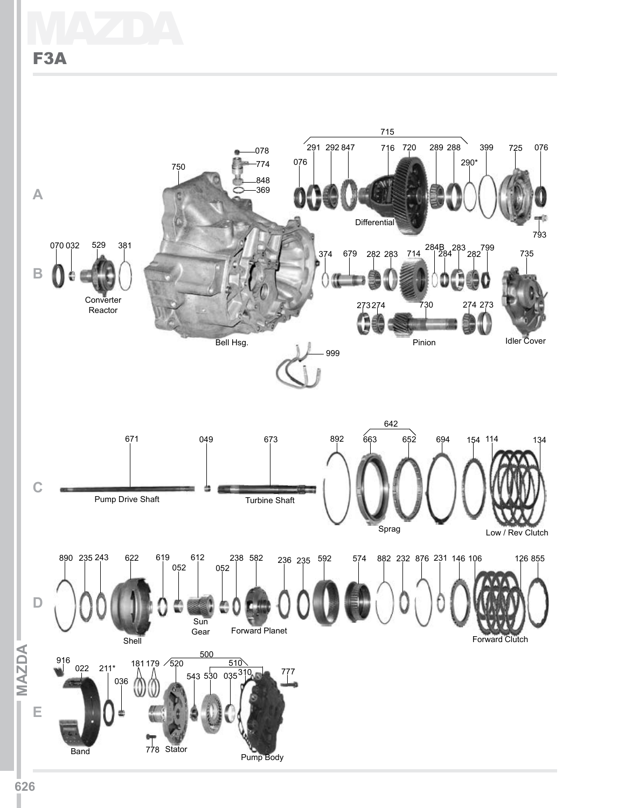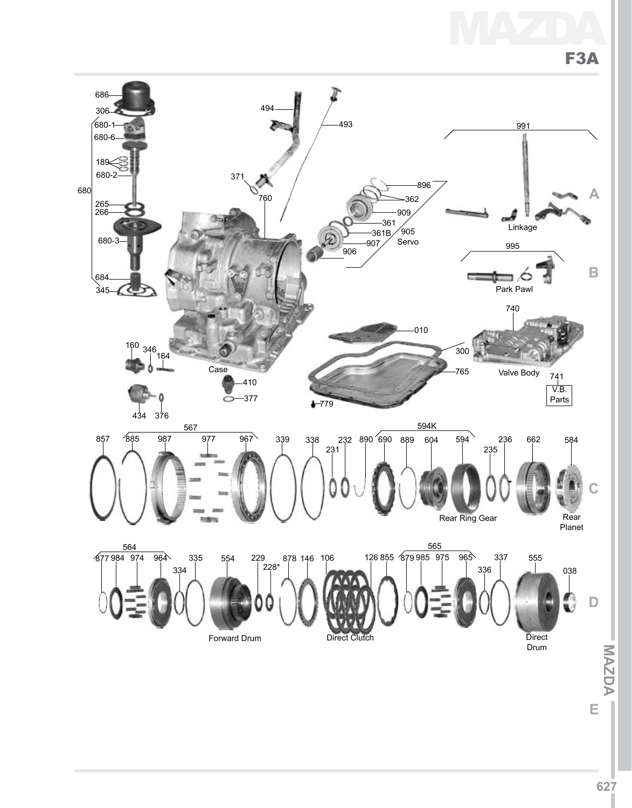



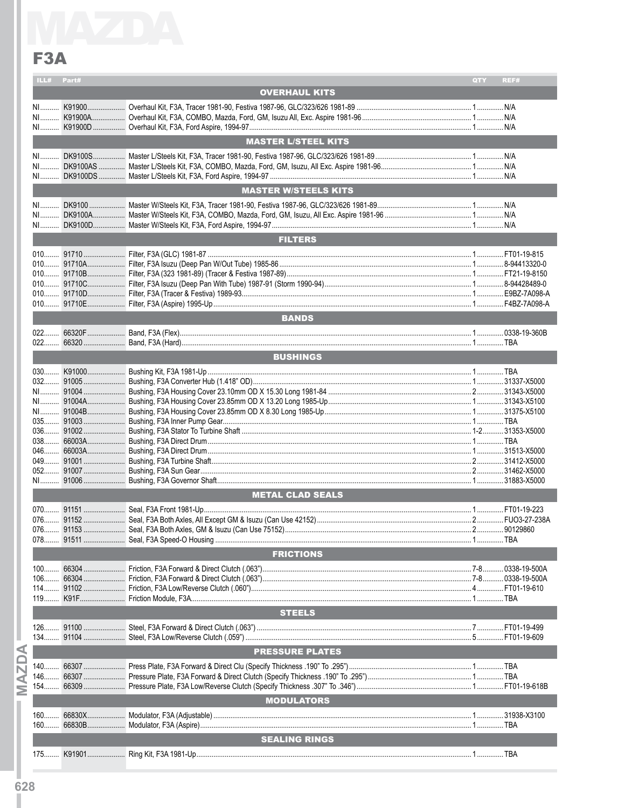ILL# Part#

**OVERHAUL KITS**  $N/A$ **MASTER L/STEEL KITS MASTER W/STEELS KITS EXAMPLE SETTLE FILTERS Example 19 SANDS AND STATE AND STATE AND STATE AND STATE AND STATE AND STATE AND STATE AND STATE AND STATE AND EXECUTE IN BUSHINGS Example 2018 METAL CLAD SEALS And All CLAD SEALS EXECUTIONS EXECUTIONS STEELS PRESSURE PLATES Example 20 MODULATORS Experiment SEALING RINGS AND RESIDENT CONTROL** 

QTY REF#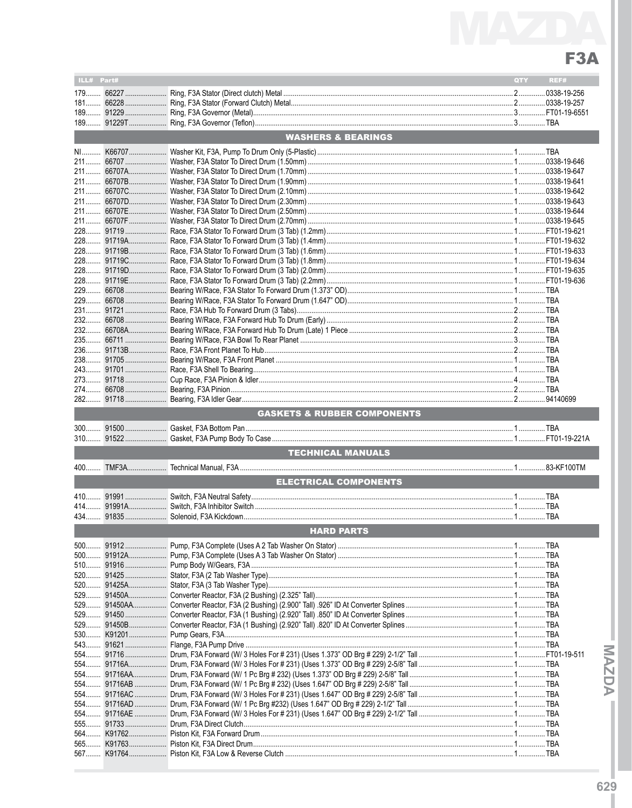## F3A

| ILL# Part#                    |  |                                                                                                                 | QTY                                    | REF# |  |  |  |  |  |  |  |
|-------------------------------|--|-----------------------------------------------------------------------------------------------------------------|----------------------------------------|------|--|--|--|--|--|--|--|
| $179$                         |  |                                                                                                                 |                                        |      |  |  |  |  |  |  |  |
|                               |  |                                                                                                                 |                                        |      |  |  |  |  |  |  |  |
|                               |  |                                                                                                                 |                                        |      |  |  |  |  |  |  |  |
|                               |  |                                                                                                                 |                                        |      |  |  |  |  |  |  |  |
|                               |  |                                                                                                                 |                                        |      |  |  |  |  |  |  |  |
| <b>WASHERS &amp; BEARINGS</b> |  |                                                                                                                 |                                        |      |  |  |  |  |  |  |  |
|                               |  |                                                                                                                 |                                        |      |  |  |  |  |  |  |  |
|                               |  |                                                                                                                 |                                        |      |  |  |  |  |  |  |  |
|                               |  |                                                                                                                 |                                        |      |  |  |  |  |  |  |  |
|                               |  |                                                                                                                 |                                        |      |  |  |  |  |  |  |  |
|                               |  |                                                                                                                 |                                        |      |  |  |  |  |  |  |  |
|                               |  |                                                                                                                 |                                        |      |  |  |  |  |  |  |  |
|                               |  |                                                                                                                 |                                        |      |  |  |  |  |  |  |  |
|                               |  |                                                                                                                 |                                        |      |  |  |  |  |  |  |  |
|                               |  |                                                                                                                 |                                        |      |  |  |  |  |  |  |  |
|                               |  |                                                                                                                 |                                        |      |  |  |  |  |  |  |  |
|                               |  |                                                                                                                 |                                        |      |  |  |  |  |  |  |  |
|                               |  |                                                                                                                 |                                        |      |  |  |  |  |  |  |  |
|                               |  |                                                                                                                 |                                        |      |  |  |  |  |  |  |  |
|                               |  |                                                                                                                 |                                        |      |  |  |  |  |  |  |  |
|                               |  |                                                                                                                 |                                        |      |  |  |  |  |  |  |  |
|                               |  |                                                                                                                 |                                        |      |  |  |  |  |  |  |  |
|                               |  |                                                                                                                 |                                        |      |  |  |  |  |  |  |  |
|                               |  |                                                                                                                 |                                        |      |  |  |  |  |  |  |  |
|                               |  |                                                                                                                 |                                        |      |  |  |  |  |  |  |  |
|                               |  |                                                                                                                 |                                        |      |  |  |  |  |  |  |  |
|                               |  |                                                                                                                 |                                        |      |  |  |  |  |  |  |  |
|                               |  |                                                                                                                 |                                        |      |  |  |  |  |  |  |  |
|                               |  |                                                                                                                 |                                        |      |  |  |  |  |  |  |  |
|                               |  |                                                                                                                 |                                        |      |  |  |  |  |  |  |  |
|                               |  | <b>STATE OF STATE OF STATE OF STATE OF STATE OF STATE OF STATE OF STATE OF STATE OF STATE OF STATE OF STATE</b> | <b>GASKETS &amp; RUBBER COMPONENTS</b> |      |  |  |  |  |  |  |  |
|                               |  |                                                                                                                 |                                        |      |  |  |  |  |  |  |  |
|                               |  |                                                                                                                 |                                        |      |  |  |  |  |  |  |  |
|                               |  |                                                                                                                 |                                        |      |  |  |  |  |  |  |  |
|                               |  | <b>TECHNICAL MANUALS</b>                                                                                        |                                        |      |  |  |  |  |  |  |  |
|                               |  |                                                                                                                 |                                        |      |  |  |  |  |  |  |  |
| $400$                         |  |                                                                                                                 |                                        |      |  |  |  |  |  |  |  |
|                               |  | <b>ELECTRICAL COMPONENTS</b>                                                                                    |                                        |      |  |  |  |  |  |  |  |
|                               |  |                                                                                                                 |                                        |      |  |  |  |  |  |  |  |
| $414$                         |  |                                                                                                                 |                                        |      |  |  |  |  |  |  |  |
| 434                           |  |                                                                                                                 |                                        |      |  |  |  |  |  |  |  |
|                               |  | <b>HARD PARTS</b>                                                                                               |                                        |      |  |  |  |  |  |  |  |
|                               |  |                                                                                                                 |                                        |      |  |  |  |  |  |  |  |
|                               |  |                                                                                                                 |                                        |      |  |  |  |  |  |  |  |
|                               |  |                                                                                                                 |                                        |      |  |  |  |  |  |  |  |
|                               |  |                                                                                                                 |                                        |      |  |  |  |  |  |  |  |
|                               |  |                                                                                                                 |                                        |      |  |  |  |  |  |  |  |
|                               |  |                                                                                                                 |                                        |      |  |  |  |  |  |  |  |
|                               |  |                                                                                                                 |                                        |      |  |  |  |  |  |  |  |
|                               |  |                                                                                                                 |                                        |      |  |  |  |  |  |  |  |
|                               |  |                                                                                                                 |                                        |      |  |  |  |  |  |  |  |
|                               |  |                                                                                                                 |                                        |      |  |  |  |  |  |  |  |
|                               |  |                                                                                                                 |                                        |      |  |  |  |  |  |  |  |
|                               |  |                                                                                                                 |                                        |      |  |  |  |  |  |  |  |
|                               |  |                                                                                                                 |                                        |      |  |  |  |  |  |  |  |
|                               |  |                                                                                                                 |                                        |      |  |  |  |  |  |  |  |
|                               |  |                                                                                                                 |                                        |      |  |  |  |  |  |  |  |
|                               |  |                                                                                                                 |                                        |      |  |  |  |  |  |  |  |
|                               |  |                                                                                                                 |                                        |      |  |  |  |  |  |  |  |
|                               |  |                                                                                                                 |                                        |      |  |  |  |  |  |  |  |
|                               |  |                                                                                                                 |                                        |      |  |  |  |  |  |  |  |
|                               |  |                                                                                                                 |                                        |      |  |  |  |  |  |  |  |

- ACSAM-

 $629$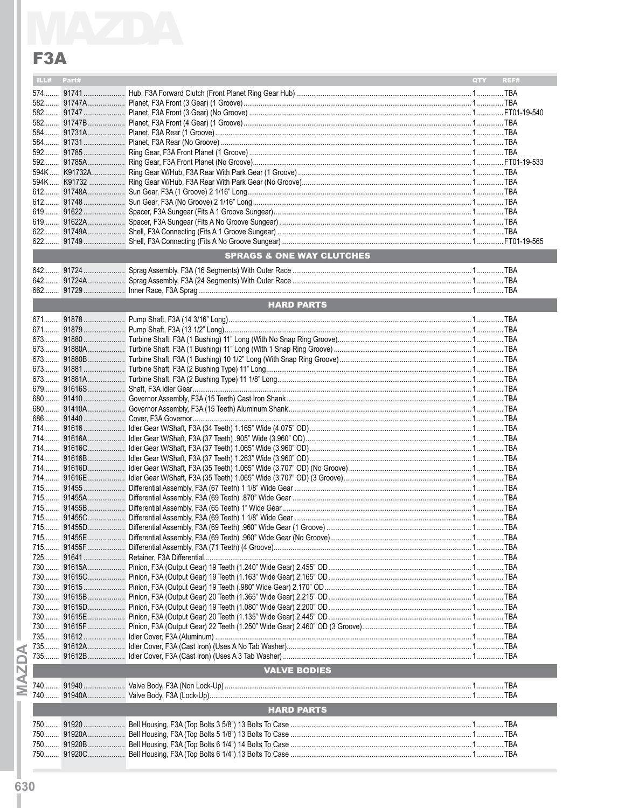## F3A

|                | <b>SPRAGS &amp; ONE WAY CLUTCHES</b>                                          |            |
|----------------|-------------------------------------------------------------------------------|------------|
|                |                                                                               |            |
|                |                                                                               |            |
|                |                                                                               |            |
|                | <b>HARD PARTS</b>                                                             |            |
|                |                                                                               |            |
|                |                                                                               |            |
|                |                                                                               |            |
|                |                                                                               |            |
|                |                                                                               |            |
|                |                                                                               |            |
|                |                                                                               |            |
|                |                                                                               |            |
|                |                                                                               |            |
|                |                                                                               |            |
|                |                                                                               |            |
|                |                                                                               |            |
|                |                                                                               |            |
|                |                                                                               |            |
|                |                                                                               |            |
|                |                                                                               |            |
|                |                                                                               |            |
|                |                                                                               |            |
|                |                                                                               |            |
|                |                                                                               |            |
|                |                                                                               |            |
|                |                                                                               |            |
|                |                                                                               |            |
|                |                                                                               |            |
|                |                                                                               |            |
|                |                                                                               |            |
|                |                                                                               |            |
|                |                                                                               |            |
|                |                                                                               |            |
|                |                                                                               |            |
|                |                                                                               |            |
|                |                                                                               |            |
|                |                                                                               |            |
|                |                                                                               |            |
|                |                                                                               |            |
|                |                                                                               |            |
|                |                                                                               |            |
|                | <b>VALVE BODIES</b>                                                           |            |
|                |                                                                               |            |
|                |                                                                               |            |
|                | <b>HARD PARTS</b>                                                             |            |
|                |                                                                               |            |
|                |                                                                               |            |
|                |                                                                               |            |
| 91920C.<br>750 | <b>Bell Housing F3A (Top Bolts 6 1/4") 13 Bolts To Case</b><br>$\overline{1}$ | <b>TRA</b> |